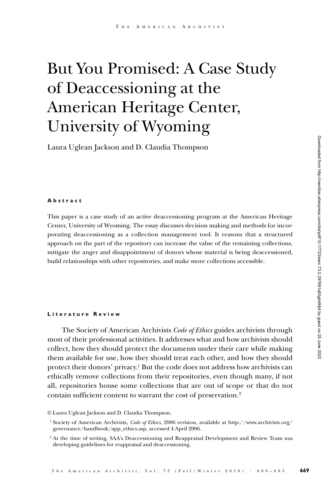# But You Promised: A Case Study of Deaccessioning at the American Heritage Center, University of Wyoming

Laura Uglean Jackson and D. Claudia Thompson

#### **Abstract**

This paper is a case study of an active deaccessioning program at the American Heritage Center, University of Wyoming. The essay discusses decision making and methods for incorporating deaccessioning as a collection management tool. It reasons that a structured approach on the part of the repository can increase the value of the remaining collections, mitigate the anger and disappointment of donors whose material is being deaccessioned, build relationships with other repositories, and make more collections accessible.

#### **Literature Review**

The Society of American Archivists *Code of Ethics* guides archivists through most of their professional activities. It addresses what and how archivists should collect, how they should protect the documents under their care while making them available for use, how they should treat each other, and how they should protect their donors' privacy.1 But the code does not address how archivists can ethically remove collections from their repositories, even though many, if not all, repositories house some collections that are out of scope or that do not contain sufficient content to warrant the cost of preservation.2

© Laura Uglean Jackson and D. Claudia Thompson.

<sup>1</sup> Society of American Archivists, *Code of Ethics*, 2006 revision, available at http://www.archivists.org/ governance/handbook/app\_ethics.asp, accessed 4 April 2006.

<sup>&</sup>lt;sup>2</sup> At the time of writing, SAA's Deaccessioning and Reappraisal Development and Review Team was developing guidelines for reappraisal and deaccessioning.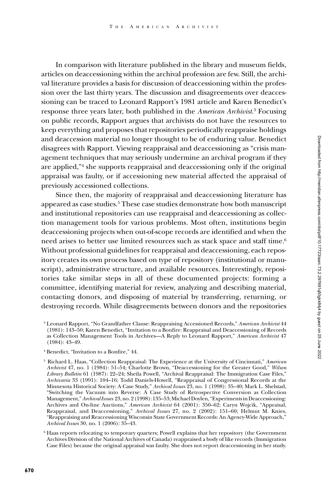In comparison with literature published in the library and museum fields, articles on deaccessioning within the archival profession are few. Still, the archival literature provides a basis for discussion of deaccessioning within the profession over the last thirty years. The discussion and disagreements over deaccessioning can be traced to Leonard Rapport's 1981 article and Karen Benedict's response three years later, both published in the *American Archivist*. 3 Focusing on public records, Rapport argues that archivists do not have the resources to keep everything and proposes that repositories periodically reappraise holdings and deaccession material no longer thought to be of enduring value. Benedict disagrees with Rapport. Viewing reappraisal and deaccessioning as "crisis management techniques that may seriously undermine an archival program if they are applied,"4 she supports reappraisal and deaccessioning only if the original appraisal was faulty, or if accessioning new material affected the appraisal of previously accessioned collections.

Since then, the majority of reappraisal and deaccessioning literature has appeared as case studies.<sup>5</sup> These case studies demonstrate how both manuscript and institutional repositories can use reappraisal and deaccessioning as collection management tools for various problems. Most often, institutions begin deaccessioning projects when out-of-scope records are identified and when the need arises to better use limited resources such as stack space and staff time.<sup>6</sup> Without professional guidelines for reappraisal and deaccessioning, each repository creates its own process based on type of repository (institutional or manuscript), administrative structure, and available resources. Interestingly, repositories take similar steps in all of these documented projects: forming a committee, identifying material for review, analyzing and describing material, contacting donors, and disposing of material by transferring, returning, or destroying records. While disagreements between donors and the repositories

<sup>4</sup> Benedict, "Invitation to a Bonfire," 44.

<sup>6</sup> Haas reports relocating to temporary quarters; Powell explains that her repository (the Government Archives Division of the National Archives of Canada) reappraised a body of like records (Immigration Case Files) because the original appraisal was faulty. She does not report deaccessioning in her study.

<sup>3</sup> Leonard Rapport, "No Grandfather Clause: Reappraising Accessioned Records," *American Archivist* 44 (1981): 143–50; Karen Benedict, "Invitation to a Bonfire: Reappraisal and Deaccessioning of Records as Collection Management Tools in Archives—A Reply to Leonard Rapport," *American Archivist* 47 (1984): 43–49.

<sup>5</sup> Richard L. Haas, "Collection Reappraisal: The Experience at the University of Cincinnati," *American Archivist* 47, no. 1 (1984): 51–54; Charlotte Brown, "Deaccessioning for the Greater Good," *Wilson Library Bulletin* 61 (1987): 22–24; Sheila Powell, "Archival Reappraisal: The Immigration Case Files," *Archivaria* 33 (1991): 104–16; Todd Daniels-Howell, "Reappraisal of Congressional Records at the Minnesota Historical Society: A Case Study," *Archival Issues* 23, no. 1 (1998): 35–40; Mark L. Shelstad, "Switching the Vacuum into Reverse: A Case Study of Retrospective Conversion as Collection Management," *Archival Issues* 23, no. 2 (1998): 135–53; Michael Doylen, "Experiments in Deaccessioning: Archives and On-line Auctions," *American Archivist* 64 (2001): 350–62; Caryn Wojcik, "Appraisal, Reappraisal, and Deaccessioning," *Archival Issues* 27, no. 2 (2002): 151–60; Helmut M. Knies, "Reappraising and Reaccessioning Wisconsin State Government Records: An Agency-Wide Approach," *Archival Issues* 30, no. 1 (2006): 35–43.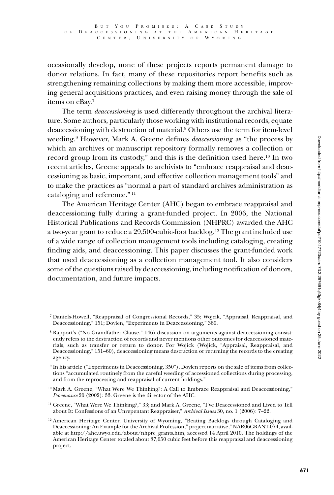occasionally develop, none of these projects reports permanent damage to donor relations. In fact, many of these repositories report benefits such as strengthening remaining collections by making them more accessible, improving general acquisitions practices, and even raising money through the sale of items on eBay.7

The term *deaccessioning* is used differently throughout the archival literature. Some authors, particularly those working with institutional records, equate deaccessioning with destruction of material.8 Others use the term for item-level weeding.9 However, Mark A. Greene defines *deaccessioning* as "the process by which an archives or manuscript repository formally removes a collection or record group from its custody," and this is the definition used here.10 In two recent articles, Greene appeals to archivists to "embrace reappraisal and deaccessioning as basic, important, and effective collection management tools" and to make the practices as "normal a part of standard archives administration as cataloging and reference." 11

The American Heritage Center (AHC) began to embrace reappraisal and deaccessioning fully during a grant-funded project. In 2006, the National Historical Publications and Records Commission (NHPRC) awarded the AHC a two-year grant to reduce a 29,500-cubic-foot backlog.12 The grant included use of a wide range of collection management tools including cataloging, creating finding aids, and deaccessioning. This paper discusses the grant-funded work that used deaccessioning as a collection management tool. It also considers some of the questions raised by deaccessioning, including notification of donors, documentation, and future impacts.

<sup>7</sup> Daniels-Howell, "Reappraisal of Congressional Records," 35; Wojcik, "Appraisal, Reappraisal, and Deaccessioning," 151; Doylen, "Experiments in Deaccessioning," 360.

<sup>8</sup> Rapport's ("No Grandfather Clause," 146) discussion on arguments against deaccessioning consistently refers to the destruction of records and never mentions other outcomes for deaccessioned materials, such as transfer or return to donor. For Wojick (Wojick, "Appraisal, Reappraisal, and Deaccessioning," 151–60), deaccessioning means destruction or returning the records to the creating agency.

<sup>9</sup> In his article ("Experiments in Deaccessioning, 350"), Doylen reports on the sale of items from collections "accumulated routinely from the careful weeding of accessioned collections during processing, and from the reprocessing and reappraisal of current holdings."

<sup>&</sup>lt;sup>10</sup> Mark A. Greene, "What Were We Thinking?: A Call to Embrace Reappraisal and Deaccessioning," *Provenance* 20 (2002): 33. Greene is the director of the AHC.

<sup>&</sup>lt;sup>11</sup> Greene, "What Were We Thinking?," 33; and Mark A. Greene, "I've Deaccessioned and Lived to Tell about It: Confessions of an Unrepentant Reappraiser," *Archival Issues* 30, no. 1 (2006): 7–22.

 $12$  American Heritage Center, University of Wyoming, "Beating Backlogs through Cataloging and Deaccessioning: An Example for the Archival Profession," project narrative," NAR06GRANT-074, available at http://ahc.uwyo.edu/about/nhprc\_grants.htm, accessed 14 April 2010. The holdings of the American Heritage Center totaled about 87,050 cubic feet before this reappraisal and deaccessioning project.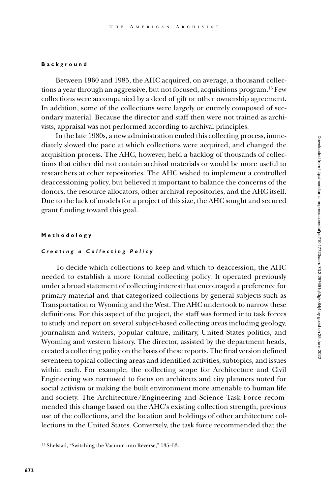#### **Background**

Between 1960 and 1985, the AHC acquired, on average, a thousand collections a year through an aggressive, but not focused, acquisitions program.13 Few collections were accompanied by a deed of gift or other ownership agreement. In addition, some of the collections were largely or entirely composed of secondary material. Because the director and staff then were not trained as archivists, appraisal was not performed according to archival principles.

In the late 1980s, a new administration ended this collecting process, immediately slowed the pace at which collections were acquired, and changed the acquisition process. The AHC, however, held a backlog of thousands of collections that either did not contain archival materials or would be more useful to researchers at other repositories. The AHC wished to implement a controlled deaccessioning policy, but believed it important to balance the concerns of the donors, the resource allocators, other archival repositories, and the AHC itself. Due to the lack of models for a project of this size, the AHC sought and secured grant funding toward this goal.

#### **Methodology**

#### *Creating a Collecting Policy*

To decide which collections to keep and which to deaccession, the AHC needed to establish a more formal collecting policy. It operated previously under a broad statement of collecting interest that encouraged a preference for primary material and that categorized collections by general subjects such as Transportation or Wyoming and the West. The AHC undertook to narrow these definitions. For this aspect of the project, the staff was formed into task forces to study and report on several subject-based collecting areas including geology, journalism and writers, popular culture, military, United States politics, and Wyoming and western history. The director, assisted by the department heads, created a collecting policy on the basis of these reports. The final version defined seventeen topical collecting areas and identified activities, subtopics, and issues within each. For example, the collecting scope for Architecture and Civil Engineering was narrowed to focus on architects and city planners noted for social activism or making the built environment more amenable to human life and society. The Architecture/Engineering and Science Task Force recommended this change based on the AHC's existing collection strength, previous use of the collections, and the location and holdings of other architecture collections in the United States. Conversely, the task force recommended that the

<sup>13</sup> Shelstad, "Switching the Vacuum into Reverse," 135–53.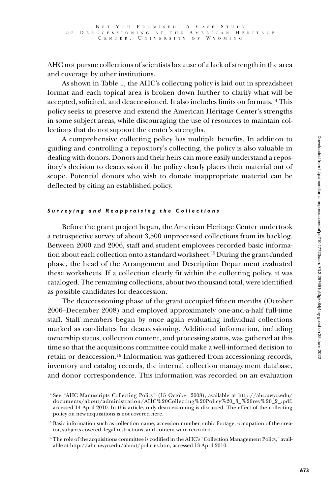AHC not pursue collections of scientists because of a lack of strength in the area and coverage by other institutions.

As shown in Table 1, the AHC's collecting policy is laid out in spreadsheet format and each topical area is broken down further to clarify what will be accepted, solicited, and deaccessioned. It also includes limits on formats.14 This policy seeks to preserve and extend the American Heritage Center's strengths in some subject areas, while discouraging the use of resources to maintain collections that do not support the center's strengths.

A comprehensive collecting policy has multiple benefits. In addition to guiding and controlling a repository's collecting, the policy is also valuable in dealing with donors. Donors and their heirs can more easily understand a repository's decision to deaccession if the policy clearly places their material out of scope. Potential donors who wish to donate inappropriate material can be deflected by citing an established policy.

#### *Surveying and Reappraising the Collections*

Before the grant project began, the American Heritage Center undertook a retrospective survey of about 3,500 unprocessed collections from its backlog. Between 2000 and 2006, staff and student employees recorded basic information about each collection onto a standard worksheet.15 During the grant-funded phase, the head of the Arrangement and Description Department evaluated these worksheets. If a collection clearly fit within the collecting policy, it was cataloged. The remaining collections, about two thousand total, were identified as possible candidates for deaccession.

The deaccessioning phase of the grant occupied fifteen months (October 2006–December 2008) and employed approximately one-and-a-half full-time staff. Staff members began by once again evaluating individual collections marked as candidates for deaccessioning. Additional information, including ownership status, collection content, and processing status, was gathered at this time so that the acquisitions committee could make a well-informed decision to retain or deaccession.16 Information was gathered from accessioning records, inventory and catalog records, the internal collection management database, and donor correspondence. This information was recorded on an evaluation

<sup>14</sup> See "AHC Manuscripts Collecting Policy" (15 October 2008), available at http://ahc.uwyo.edu/ documents/about/administration/AHC%20Collecting%20Policy%20\_3\_%20rev%20\_2\_.pdf, accessed 14 April 2010. In this article, only deaccessioning is discussed. The effect of the collecting policy on new acquisitions is not covered here.

<sup>&</sup>lt;sup>15</sup> Basic information such as collection name, accession number, cubic footage, occupation of the creator, subjects covered, legal restrictions, and content were recorded.

 $16$  The role of the acquisitions committee is codified in the AHC's "Collection Management Policy," available at http://ahc.uwyo.edu/about/policies.htm, accessed 13 April 2010.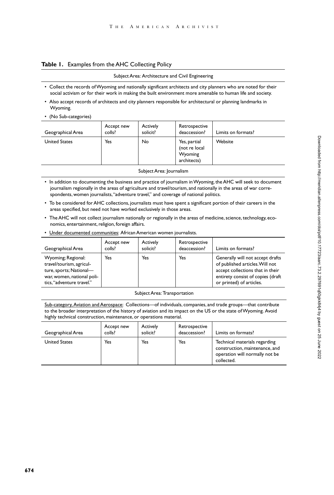#### **Table 1.** Examples from the AHC Collecting Policy

#### Subject Area: Architecture and Civil Engineering

- • Collect the records ofWyoming and nationally significant architects and city planners who are noted for their social activism or for their work in making the built environment more amenable to human life and society.
- • Also accept records of architects and city planners responsible for architectural or planning landmarks in Wyoming.
- (No Sub-categories)

| Yes<br><b>United States</b> |    |                                                         |         |
|-----------------------------|----|---------------------------------------------------------|---------|
|                             | No | Yes, partial<br>(not re local<br>Wyoming<br>architects) | Website |

Subject Area: Journalism

- In addition to documenting the business and practice of journalism in Wyoming, the AHC will seek to document journalism regionally in the areas of agriculture and travel/tourism, and nationally in the areas of war correspondents, women journalists,"adventure travel," and coverage of national politics.
- • To be considered forAHC collections, journalists must have spent a significant portion of their careers in the areas specified, but need not have worked exclusively in those areas.
- The AHC will not collect journalism nationally or regionally in the areas of medicine, science, technology, economics, entertainment, religion, foreign affairs.
- Under documented communities: African American women journalists.

| Geographical Area                                                                                                                    | Accept new<br>colls? | Actively<br>solicit? | Retrospective<br>deaccession? | Limits on formats?                                                                                                                                                       |
|--------------------------------------------------------------------------------------------------------------------------------------|----------------------|----------------------|-------------------------------|--------------------------------------------------------------------------------------------------------------------------------------------------------------------------|
| Wyoming; Regional:<br>travel/tourism, agricul-<br>ture, sports; National-<br>war, women, national poli-<br>tics, "adventure travel." | Yes                  | Yes                  | Yes                           | Generally will not accept drafts<br>of published articles. Will not<br>accept collections that in their<br>entirety consist of copies (draft<br>or printed) of articles. |

#### SubjectArea: Transportation

Sub-category,Aviation and Aerospace: Collections—of individuals, companies, and trade groups—that contribute to the broader interpretation of the history of aviation and its impact on the US or the state ofWyoming. Avoid highly technical construction, maintenance, or operations material.

| Geographical Area    | Accept new<br>colls? | <b>Actively</b><br>solicit? | Retrospective<br>deaccession? | Limits on formats?                                                                                              |
|----------------------|----------------------|-----------------------------|-------------------------------|-----------------------------------------------------------------------------------------------------------------|
| <b>United States</b> | Yes                  | Yes                         | Yes                           | Technical materials regarding<br>construction, maintenance, and<br>operation will normally not be<br>collected. |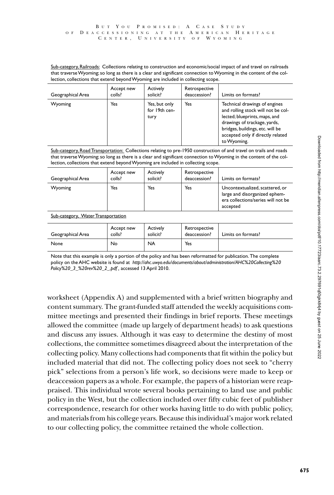Sub-category, Railroads: Collections relating to construction and economic/social impact of and travel on railroads that traverseWyoming;so long as there is a clear and significant connection toWyoming in the content of the collection, collections that extend beyondWyoming are included in collecting scope.

| Geographical Area | Accept new<br>colls? | Actively<br>solicit?                   | Retrospective<br>deaccession? | Limits on formats?                                                                                                                                                                                                           |
|-------------------|----------------------|----------------------------------------|-------------------------------|------------------------------------------------------------------------------------------------------------------------------------------------------------------------------------------------------------------------------|
| Wyoming           | Yes                  | Yes, but only<br>for 19th cen-<br>tury | Yes                           | Technical drawings of engines<br>and rolling stock will not be col-<br>lected; blueprints, maps, and<br>drawings of trackage, yards,<br>bridges, buildings, etc. will be<br>accepted only if directly related<br>to Wyoming. |

Sub-category, RoadTransportation: Collections relating to pre-1950 construction of and travel on trails and roads that traverseWyoming;so long as there is a clear and significant connection toWyoming in the content of the collection, collections that extend beyondWyoming are included in collecting scope.

| Geographical Area | Accept new<br>colls? | <b>Actively</b><br>solicit? | Retrospective<br>deaccession? | Limits on formats?                                                                                                 |
|-------------------|----------------------|-----------------------------|-------------------------------|--------------------------------------------------------------------------------------------------------------------|
| Wyoming           | Yes                  | Yes                         | Yes                           | Uncontextualized, scattered, or<br>large and disorganized ephem-<br>era collections/series will not be<br>accepted |

Sub-category, Water Transportation

| Geographical Area | Accept new<br>colls? | Actively<br>solicit? | Retrospective<br>deaccession? | Limits on formats? |
|-------------------|----------------------|----------------------|-------------------------------|--------------------|
| None              | No                   | <b>NA</b>            | Yes                           |                    |

Note that this example is only a portion of the policy and has been reformatted for publication. The complete policy on theAHC website is found at *http://ahc.uwyo.edu/documents/about/administration/AHC%20Collecting%20 Policy%20\_3\_%20rev%20\_2\_.pdf ,* accessed 13April 2010.

worksheet (Appendix A) and supplemented with a brief written biography and content summary. The grant-funded staff attended the weekly acquisitions committee meetings and presented their findings in brief reports. These meetings allowed the committee (made up largely of department heads) to ask questions and discuss any issues. Although it was easy to determine the destiny of most collections, the committee sometimes disagreed about the interpretation of the collecting policy. Many collections had components that fit within the policy but included material that did not. The collecting policy does not seek to "cherry pick" selections from a person's life work, so decisions were made to keep or deaccession papers as a whole. For example, the papers of a historian were reappraised. This individual wrote several books pertaining to land use and public policy in the West, but the collection included over fifty cubic feet of publisher correspondence, research for other works having little to do with public policy, and materials from his college years. Because this individual's major work related to our collecting policy, the committee retained the whole collection.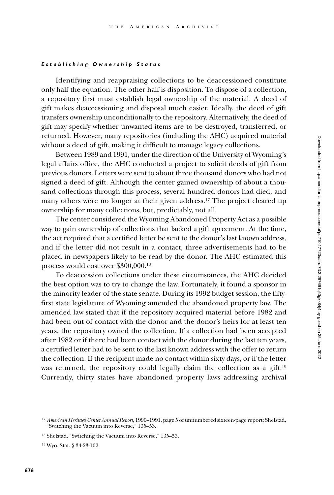#### *Establishing Ownership Status*

Identifying and reappraising collections to be deaccessioned constitute only half the equation. The other half is disposition. To dispose of a collection, a repository first must establish legal ownership of the material. A deed of gift makes deaccessioning and disposal much easier. Ideally, the deed of gift transfers ownership unconditionally to the repository. Alternatively, the deed of gift may specify whether unwanted items are to be destroyed, transferred, or returned. However, many repositories (including the AHC) acquired material without a deed of gift, making it difficult to manage legacy collections.

Between 1989 and 1991, under the direction of the University of Wyoming's legal affairs office, the AHC conducted a project to solicit deeds of gift from previous donors. Letters were sent to about three thousand donors who had not signed a deed of gift. Although the center gained ownership of about a thousand collections through this process, several hundred donors had died, and many others were no longer at their given address.<sup>17</sup> The project cleared up ownership for many collections, but, predictably, not all.

The center considered the Wyoming Abandoned Property Act as a possible way to gain ownership of collections that lacked a gift agreement. At the time, the act required that a certified letter be sent to the donor's last known address, and if the letter did not result in a contact, three advertisements had to be placed in newspapers likely to be read by the donor. The AHC estimated this process would cost over \$300,000.18

To deaccession collections under these circumstances, the AHC decided the best option was to try to change the law. Fortunately, it found a sponsor in the minority leader of the state senate. During its 1992 budget session, the fiftyfirst state legislature of Wyoming amended the abandoned property law. The amended law stated that if the repository acquired material before 1982 and had been out of contact with the donor and the donor's heirs for at least ten years, the repository owned the collection. If a collection had been accepted after 1982 or if there had been contact with the donor during the last ten years, a certified letter had to be sent to the last known address with the offer to return the collection. If the recipient made no contact within sixty days, or if the letter was returned, the repository could legally claim the collection as a gift.<sup>19</sup> Currently, thirty states have abandoned property laws addressing archival

<sup>17</sup> *American Heritage Center Annual Report*, 1990–1991, page 5 of unnumbered sixteen-page report; Shelstad, "Switching the Vacuum into Reverse," 135–53.

<sup>18</sup> Shelstad, "Switching the Vacuum into Reverse," 135–53.

<sup>19</sup> Wyo. Stat. § 34-23-102.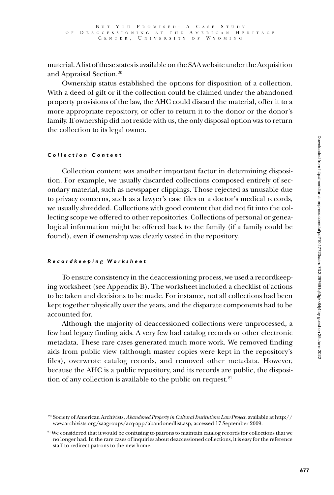material. A list of these states is available on the SAA website under the Acquisition and Appraisal Section.20

Ownership status established the options for disposition of a collection. With a deed of gift or if the collection could be claimed under the abandoned property provisions of the law, the AHC could discard the material, offer it to a more appropriate repository, or offer to return it to the donor or the donor's family. If ownership did not reside with us, the only disposal option was to return the collection to its legal owner.

## *C o l l e c t i o n C o n t e n t*

Collection content was another important factor in determining disposition. For example, we usually discarded collections composed entirely of secondary material, such as newspaper clippings. Those rejected as unusable due to privacy concerns, such as a lawyer's case files or a doctor's medical records, we usually shredded. Collections with good content that did not fit into the collecting scope we offered to other repositories. Collections of personal or genealogical information might be offered back to the family (if a family could be found), even if ownership was clearly vested in the repository.

# *Recordkeeping Worksheet*

To ensure consistency in the deaccessioning process, we used a recordkeeping worksheet (see Appendix B). The worksheet included a checklist of actions to be taken and decisions to be made. For instance, not all collections had been kept together physically over the years, and the disparate components had to be accounted for.

Although the majority of deaccessioned collections were unprocessed, a few had legacy finding aids. A very few had catalog records or other electronic metadata. These rare cases generated much more work. We removed finding aids from public view (although master copies were kept in the repository's files), overwrote catalog records, and removed other metadata. However, because the AHC is a public repository, and its records are public, the disposition of any collection is available to the public on request. $21$ 

<sup>20</sup> Society of American Archivists, *Abandoned Property in Cultural Institutions Law Project*, available at http:// www.archivists.org/saagroups/acq-app/abandonedlist.asp, accessed 17 September 2009.

<sup>&</sup>lt;sup>21</sup> We considered that it would be confusing to patrons to maintain catalog records for collections that we no longer had. In the rare cases of inquiries about deaccessioned collections, it is easy for the reference staff to redirect patrons to the new home.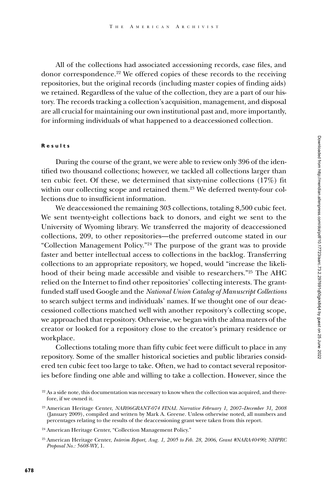All of the collections had associated accessioning records, case files, and donor correspondence.22 We offered copies of these records to the receiving repositories, but the original records (including master copies of finding aids) we retained. Regardless of the value of the collection, they are a part of our history. The records tracking a collection's acquisition, management, and disposal are all crucial for maintaining our own institutional past and, more importantly, for informing individuals of what happened to a deaccessioned collection.

#### **Results**

During the course of the grant, we were able to review only 396 of the identified two thousand collections; however, we tackled all collections larger than ten cubic feet. Of these, we determined that sixty-nine collections (17%) fit within our collecting scope and retained them.<sup>23</sup> We deferred twenty-four collections due to insufficient information.

We deaccessioned the remaining 303 collections, totaling 8,500 cubic feet. We sent twenty-eight collections back to donors, and eight we sent to the University of Wyoming library. We transferred the majority of deaccessioned collections, 209, to other repositories—the preferred outcome stated in our "Collection Management Policy."24 The purpose of the grant was to provide faster and better intellectual access to collections in the backlog. Transferring collections to an appropriate repository, we hoped, would "increase the likelihood of their being made accessible and visible to researchers."25 The AHC relied on the Internet to find other repositories' collecting interests. The grantfunded staff used Google and the *National Union Catalog of Manuscript Collections* to search subject terms and individuals' names. If we thought one of our deaccessioned collections matched well with another repository's collecting scope, we approached that repository. Otherwise, we began with the alma maters of the creator or looked for a repository close to the creator's primary residence or workplace.

Collections totaling more than fifty cubic feet were difficult to place in any repository. Some of the smaller historical societies and public libraries considered ten cubic feet too large to take. Often, we had to contact several repositories before finding one able and willing to take a collection. However, since the

 $22$  As a side note, this documentation was necessary to know when the collection was acquired, and therefore, if we owned it.

<sup>23</sup> American Heritage Center, *NAR06GRANT-074 FINAL Narrative February 1, 2007–December 31, 2008*  (January 2009), compiled and written by Mark A. Greene. Unless otherwise noted, all numbers and percentages relating to the results of the deaccessioning grant were taken from this report.

<sup>24</sup> American Heritage Center, "Collection Management Policy."

<sup>25</sup> American Heritage Center, *Interim Report, Aug. 1, 2005 to Feb. 28, 2006*, *Grant #NARA40490; NHPRC Proposal No.: 5608-WY*, 1.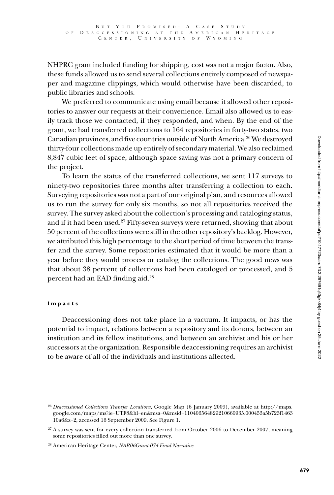NHPRC grant included funding for shipping, cost was not a major factor. Also, these funds allowed us to send several collections entirely composed of newspaper and magazine clippings, which would otherwise have been discarded, to public libraries and schools.

We preferred to communicate using email because it allowed other repositories to answer our requests at their convenience. Email also allowed us to easily track those we contacted, if they responded, and when. By the end of the grant, we had transferred collections to 164 repositories in forty-two states, two Canadian provinces, and five countries outside of North America.26 We destroyed thirty-four collections made up entirely of secondary material. We also reclaimed 8,847 cubic feet of space, although space saving was not a primary concern of the project.

To learn the status of the transferred collections, we sent 117 surveys to ninety-two repositories three months after transferring a collection to each. Surveying repositories was not a part of our original plan, and resources allowed us to run the survey for only six months, so not all repositories received the survey. The survey asked about the collection's processing and cataloging status, and if it had been used.27 Fifty-seven surveys were returned, showing that about 50 percent of the collections were still in the other repository's backlog. However, we attributed this high percentage to the short period of time between the transfer and the survey. Some repositories estimated that it would be more than a year before they would process or catalog the collections. The good news was that about 38 percent of collections had been cataloged or processed, and 5 percent had an EAD finding aid.28

## **Impacts**

Deaccessioning does not take place in a vacuum. It impacts, or has the potential to impact, relations between a repository and its donors, between an institution and its fellow institutions, and between an archivist and his or her successors at the organization. Responsible deaccessioning requires an archivist to be aware of all of the individuals and institutions affected.

<sup>26</sup> *Deaccessioned Collections Transfer Locations,* Google Map (6 January 2009), available at http://maps. google.com/maps/ms?ie=UTF8&hl=en&msa=0&msid=110406564829210660935.000453a5b723f1463 10a6&z=2, accessed 16 September 2009. See Figure 1.

<sup>&</sup>lt;sup>27</sup> A survey was sent for every collection transferred from October 2006 to December 2007, meaning some repositories filled out more than one survey.

<sup>28</sup> American Heritage Center, *NAR06Grant-074 Final Narrative.*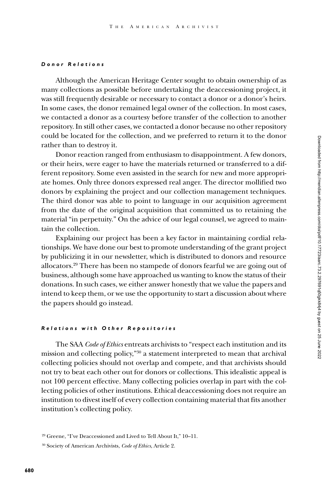#### *Donor Relations*

Although the American Heritage Center sought to obtain ownership of as many collections as possible before undertaking the deaccessioning project, it was still frequently desirable or necessary to contact a donor or a donor's heirs. In some cases, the donor remained legal owner of the collection. In most cases, we contacted a donor as a courtesy before transfer of the collection to another repository. In still other cases, we contacted a donor because no other repository could be located for the collection, and we preferred to return it to the donor rather than to destroy it.

Donor reaction ranged from enthusiasm to disappointment. A few donors, or their heirs, were eager to have the materials returned or transferred to a different repository. Some even assisted in the search for new and more appropriate homes. Only three donors expressed real anger. The director mollified two donors by explaining the project and our collection management techniques. The third donor was able to point to language in our acquisition agreement from the date of the original acquisition that committed us to retaining the material "in perpetuity." On the advice of our legal counsel, we agreed to maintain the collection.

Explaining our project has been a key factor in maintaining cordial relationships. We have done our best to promote understanding of the grant project by publicizing it in our newsletter, which is distributed to donors and resource allocators.29 There has been no stampede of donors fearful we are going out of business, although some have approached us wanting to know the status of their donations. In such cases, we either answer honestly that we value the papers and intend to keep them, or we use the opportunity to start a discussion about where the papers should go instead.

#### *Relations with Other Repositories*

The SAA *Code of Ethics* entreats archivists to "respect each institution and its mission and collecting policy,"30 a statement interpreted to mean that archival collecting policies should not overlap and compete, and that archivists should not try to beat each other out for donors or collections. This idealistic appeal is not 100 percent effective. Many collecting policies overlap in part with the collecting policies of other institutions. Ethical deaccessioning does not require an institution to divest itself of every collection containing material that fits another institution's collecting policy.

<sup>29</sup> Greene, "I've Deaccessioned and Lived to Tell About It," 10–11.

<sup>30</sup> Society of American Archivists, *Code of Ethics*, Article 2.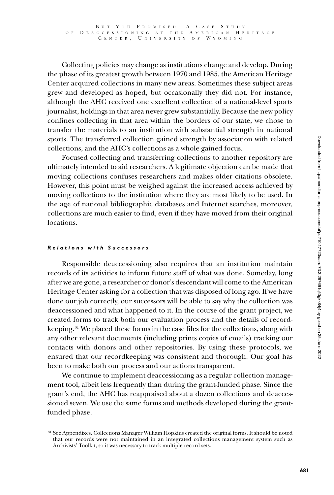Collecting policies may change as institutions change and develop. During the phase of its greatest growth between 1970 and 1985, the American Heritage Center acquired collections in many new areas. Sometimes these subject areas grew and developed as hoped, but occasionally they did not. For instance, although the AHC received one excellent collection of a national-level sports journalist, holdings in that area never grew substantially. Because the new policy confines collecting in that area within the borders of our state, we chose to transfer the materials to an institution with substantial strength in national sports. The transferred collection gained strength by association with related collections, and the AHC's collections as a whole gained focus.

Focused collecting and transferring collections to another repository are ultimately intended to aid researchers. A legitimate objection can be made that moving collections confuses researchers and makes older citations obsolete. However, this point must be weighed against the increased access achieved by moving collections to the institution where they are most likely to be used. In the age of national bibliographic databases and Internet searches, moreover, collections are much easier to find, even if they have moved from their original locations.

# *Relations with Successors*

Responsible deaccessioning also requires that an institution maintain records of its activities to inform future staff of what was done. Someday, long after we are gone, a researcher or donor's descendant will come to the American Heritage Center asking for a collection that was disposed of long ago. If we have done our job correctly, our successors will be able to say why the collection was deaccessioned and what happened to it. In the course of the grant project, we created forms to track both our evaluation process and the details of recordkeeping.31 We placed these forms in the case files for the collections, along with any other relevant documents (including prints copies of emails) tracking our contacts with donors and other repositories. By using these protocols, we ensured that our recordkeeping was consistent and thorough. Our goal has been to make both our process and our actions transparent.

We continue to implement deaccessioning as a regular collection management tool, albeit less frequently than during the grant-funded phase. Since the grant's end, the AHC has reappraised about a dozen collections and deaccessioned seven. We use the same forms and methods developed during the grantfunded phase.

<sup>&</sup>lt;sup>31</sup> See Appendixes. Collections Manager William Hopkins created the original forms. It should be noted that our records were not maintained in an integrated collections management system such as Archivists' Toolkit, so it was necessary to track multiple record sets.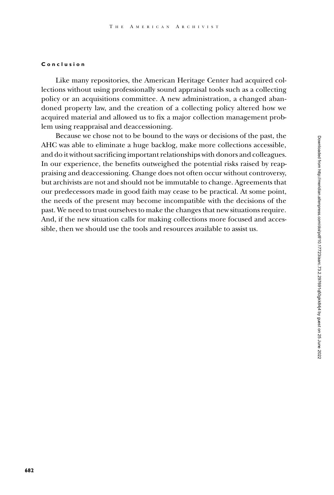#### **Conclusion**

Like many repositories, the American Heritage Center had acquired collections without using professionally sound appraisal tools such as a collecting policy or an acquisitions committee. A new administration, a changed abandoned property law, and the creation of a collecting policy altered how we acquired material and allowed us to fix a major collection management problem using reappraisal and deaccessioning.

Because we chose not to be bound to the ways or decisions of the past, the AHC was able to eliminate a huge backlog, make more collections accessible, and do it without sacrificing important relationships with donors and colleagues. In our experience, the benefits outweighed the potential risks raised by reappraising and deaccessioning. Change does not often occur without controversy, but archivists are not and should not be immutable to change. Agreements that our predecessors made in good faith may cease to be practical. At some point, the needs of the present may become incompatible with the decisions of the past. We need to trust ourselves to make the changes that new situations require. And, if the new situation calls for making collections more focused and accessible, then we should use the tools and resources available to assist us.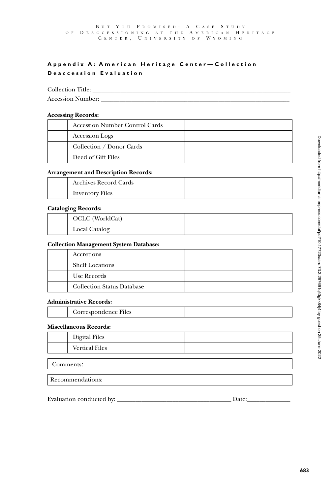# **Appendix A: American Heritage Center-Collection Deaccession Evaluation**

Collection Title:

Accession Number: \_\_\_\_\_\_\_\_\_\_\_\_\_\_\_\_\_\_\_\_\_\_\_\_\_\_\_\_\_\_\_\_\_\_\_\_\_\_\_\_\_\_\_\_\_\_\_\_\_\_\_\_\_\_\_\_\_\_\_\_\_

## **Accessing Records:**

| <b>Accession Number Control Cards</b> |  |
|---------------------------------------|--|
| Accession Logs                        |  |
| Collection / Donor Cards              |  |
| Deed of Gift Files                    |  |

## **Arrangement and Description Records:**

| <b>Archives Record Cards</b> |  |
|------------------------------|--|
| <b>Inventory Files</b>       |  |

## **Cataloging Records:**

| OCLC (WorldCat) |  |
|-----------------|--|
| Local Catalog   |  |

## **Collection Management System Database:**

| Accretions                        |  |
|-----------------------------------|--|
| <b>Shelf Locations</b>            |  |
| Use Records                       |  |
| <b>Collection Status Database</b> |  |

## **Administrative Records:**

| Correspondence Files |  |
|----------------------|--|
|                      |  |

# **Miscellaneous Records:**

|           | <b>Digital Files</b>  |  |  |
|-----------|-----------------------|--|--|
|           | <b>Vertical Files</b> |  |  |
|           |                       |  |  |
| Comments: |                       |  |  |

Recommendations:

# Evaluation conducted by: \_\_\_\_\_\_\_\_\_\_\_\_\_\_\_\_\_\_\_\_\_\_\_\_\_\_\_\_\_\_\_\_\_\_\_\_\_ Date:\_\_\_\_\_\_\_\_\_\_\_\_\_\_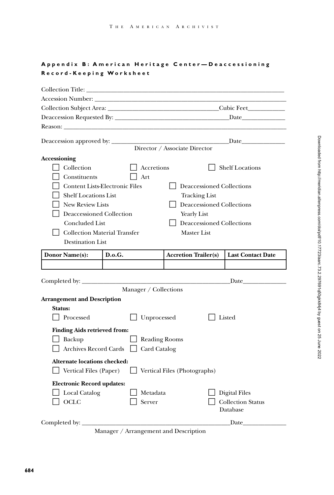# **Appendix B: American Heritage Center-Deaccessioning R e c o rd - Ke e p i n g Wo r k s h e e t**

| Accession Number: New York Structure and Structure and Structure and Structure and Structure and Structure and                                                                                                                                                                                                                   |                    |                                                                                                                                                                |                                                                                                                                                                                                                               |  |  |  |
|----------------------------------------------------------------------------------------------------------------------------------------------------------------------------------------------------------------------------------------------------------------------------------------------------------------------------------|--------------------|----------------------------------------------------------------------------------------------------------------------------------------------------------------|-------------------------------------------------------------------------------------------------------------------------------------------------------------------------------------------------------------------------------|--|--|--|
|                                                                                                                                                                                                                                                                                                                                  |                    |                                                                                                                                                                |                                                                                                                                                                                                                               |  |  |  |
|                                                                                                                                                                                                                                                                                                                                  |                    |                                                                                                                                                                | <b>Date</b>                                                                                                                                                                                                                   |  |  |  |
|                                                                                                                                                                                                                                                                                                                                  |                    |                                                                                                                                                                |                                                                                                                                                                                                                               |  |  |  |
| Deaccession approved by:                                                                                                                                                                                                                                                                                                         |                    | Director / Associate Director                                                                                                                                  | Date and the same state of the same state of the same state of the same state of the same state of the same state of the same state of the same state of the same state of the same state of the same state of the same state |  |  |  |
| <b>Accessioning</b>                                                                                                                                                                                                                                                                                                              |                    |                                                                                                                                                                |                                                                                                                                                                                                                               |  |  |  |
| Collection<br>Constituents<br><b>Content Lists-Electronic Files</b><br><b>Shelf Locations List</b><br><b>New Review Lists</b><br>Deaccessioned Collection<br>Concluded List<br><b>Collection Material Transfer</b><br><b>Destination List</b>                                                                                    | Accretions<br>Art  | Deaccessioned Collections<br><b>Tracking List</b><br><b>Deaccessioned Collections</b><br><b>Yearly List</b><br>Deaccessioned Collections<br><b>Master List</b> | <b>Shelf Locations</b>                                                                                                                                                                                                        |  |  |  |
| Donor Name(s):                                                                                                                                                                                                                                                                                                                   | D.o.G.             | <b>Accretion Trailer(s)</b>                                                                                                                                    | <b>Last Contact Date</b>                                                                                                                                                                                                      |  |  |  |
|                                                                                                                                                                                                                                                                                                                                  |                    |                                                                                                                                                                |                                                                                                                                                                                                                               |  |  |  |
| Completed by: $\_\_$<br>Date has been a set of the set of the set of the set of the set of the set of the set of the set of the set of the set of the set of the set of the set of the set of the set of the set of the set of the set of the set of t<br>Manager / Collections<br><b>Arrangement and Description</b><br>Status: |                    |                                                                                                                                                                |                                                                                                                                                                                                                               |  |  |  |
| Processed                                                                                                                                                                                                                                                                                                                        | Unprocessed        |                                                                                                                                                                | Listed                                                                                                                                                                                                                        |  |  |  |
| <b>Finding Aids retrieved from:</b><br>Backup<br><b>Reading Rooms</b><br><b>Archives Record Cards</b><br>Card Catalog<br>Alternate locations checked:                                                                                                                                                                            |                    |                                                                                                                                                                |                                                                                                                                                                                                                               |  |  |  |
| Vertical Files (Paper)<br>Vertical Files (Photographs)                                                                                                                                                                                                                                                                           |                    |                                                                                                                                                                |                                                                                                                                                                                                                               |  |  |  |
| <b>Electronic Record updates:</b><br>Local Catalog<br>OCLC                                                                                                                                                                                                                                                                       | Metadata<br>Server |                                                                                                                                                                | <b>Digital Files</b><br><b>Collection Status</b><br>Database                                                                                                                                                                  |  |  |  |
| Completed by:                                                                                                                                                                                                                                                                                                                    |                    |                                                                                                                                                                | Date                                                                                                                                                                                                                          |  |  |  |

Manager / Arrangement and Description